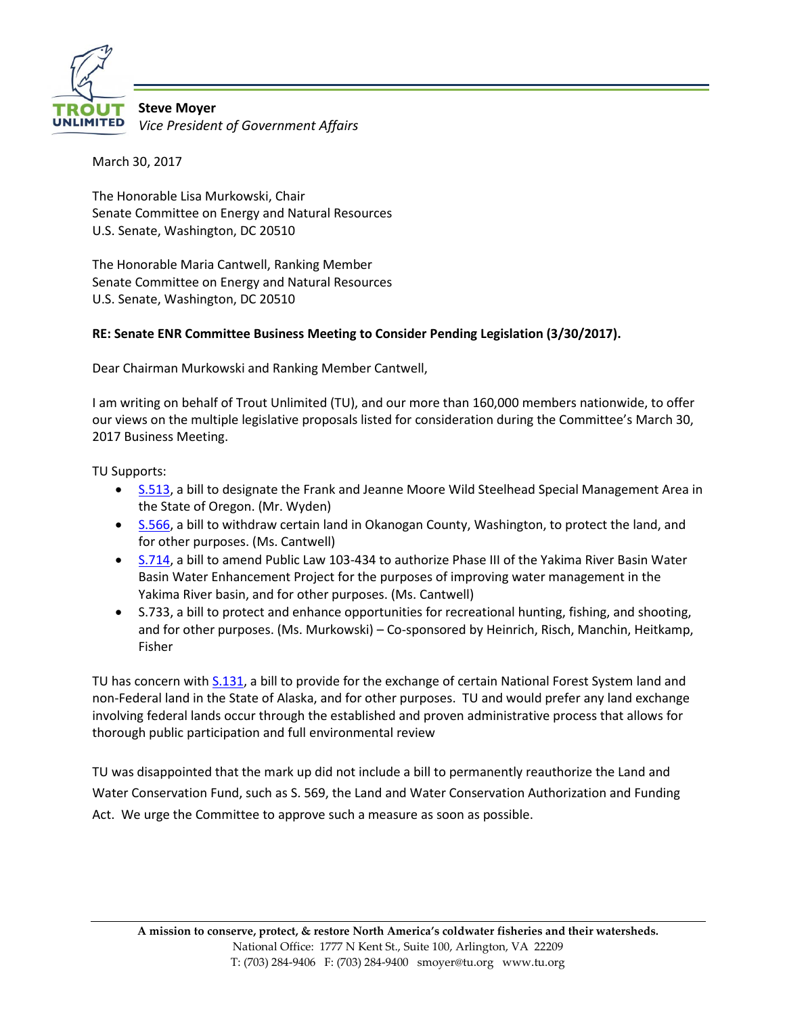

**Steve Moyer** *Vice President of Government Affairs*

March 30, 2017

The Honorable Lisa Murkowski, Chair Senate Committee on Energy and Natural Resources U.S. Senate, Washington, DC 20510

The Honorable Maria Cantwell, Ranking Member Senate Committee on Energy and Natural Resources U.S. Senate, Washington, DC 20510

## **RE: Senate ENR Committee Business Meeting to Consider Pending Legislation (3/30/2017).**

Dear Chairman Murkowski and Ranking Member Cantwell,

I am writing on behalf of Trout Unlimited (TU), and our more than 160,000 members nationwide, to offer our views on the multiple legislative proposals listed for consideration during the Committee's March 30, 2017 Business Meeting.

TU Supports:

- [S.513,](https://www.congress.gov/bill/115th-congress/senate-bill/513) a bill to designate the Frank and Jeanne Moore Wild Steelhead Special Management Area in the State of Oregon. (Mr. Wyden)
- [S.566,](https://www.congress.gov/bill/115th-congress/senate-bill/566) a bill to withdraw certain land in Okanogan County, Washington, to protect the land, and for other purposes. (Ms. Cantwell)
- [S.714,](https://www.energy.senate.gov/public/index.cfm?a=files.serve&File_id=1754DC3A-B7CF-4F58-8458-8017613EDAF9) a bill to amend Public Law 103-434 to authorize Phase III of the Yakima River Basin Water Basin Water Enhancement Project for the purposes of improving water management in the Yakima River basin, and for other purposes. (Ms. Cantwell)
- S.733, a bill to protect and enhance opportunities for recreational hunting, fishing, and shooting, and for other purposes. (Ms. Murkowski) – Co-sponsored by Heinrich, Risch, Manchin, Heitkamp, Fisher

TU has concern with  $S.131$ , a bill to provide for the exchange of certain National Forest System land and non-Federal land in the State of Alaska, and for other purposes. TU and would prefer any land exchange involving federal lands occur through the established and proven administrative process that allows for thorough public participation and full environmental review

TU was disappointed that the mark up did not include a bill to permanently reauthorize the Land and Water Conservation Fund, such as S. 569, the Land and Water Conservation Authorization and Funding Act. We urge the Committee to approve such a measure as soon as possible.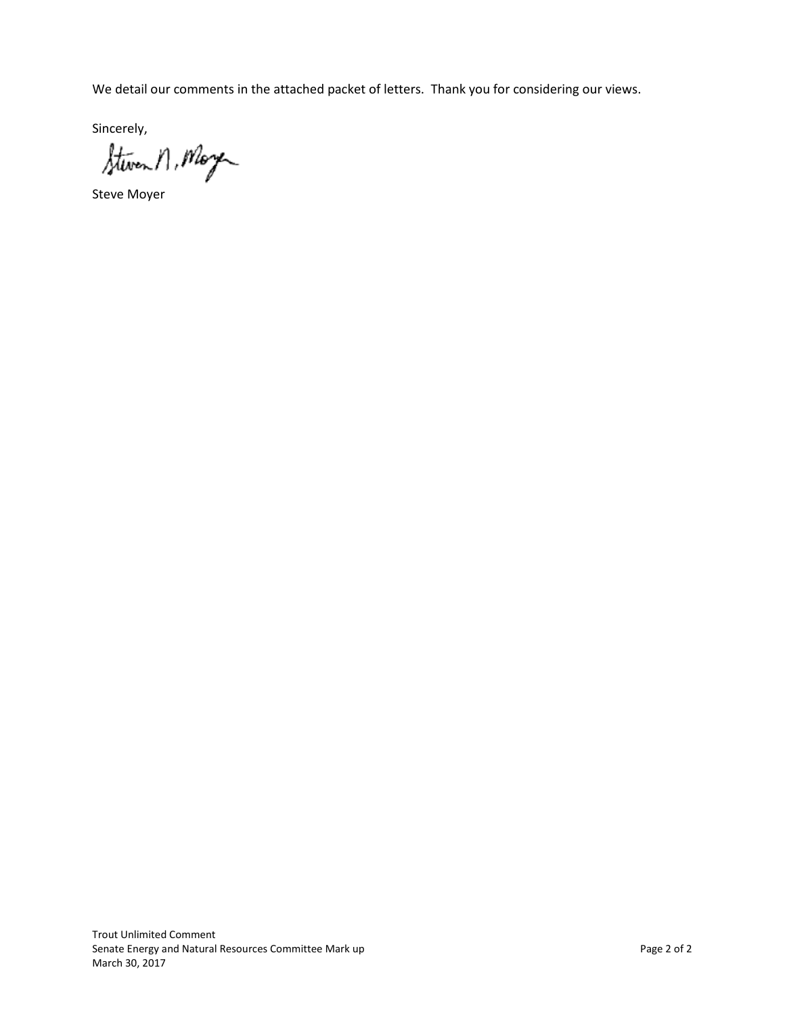We detail our comments in the attached packet of letters. Thank you for considering our views.

sincerely,<br>Steven n, Moye

Steve Moyer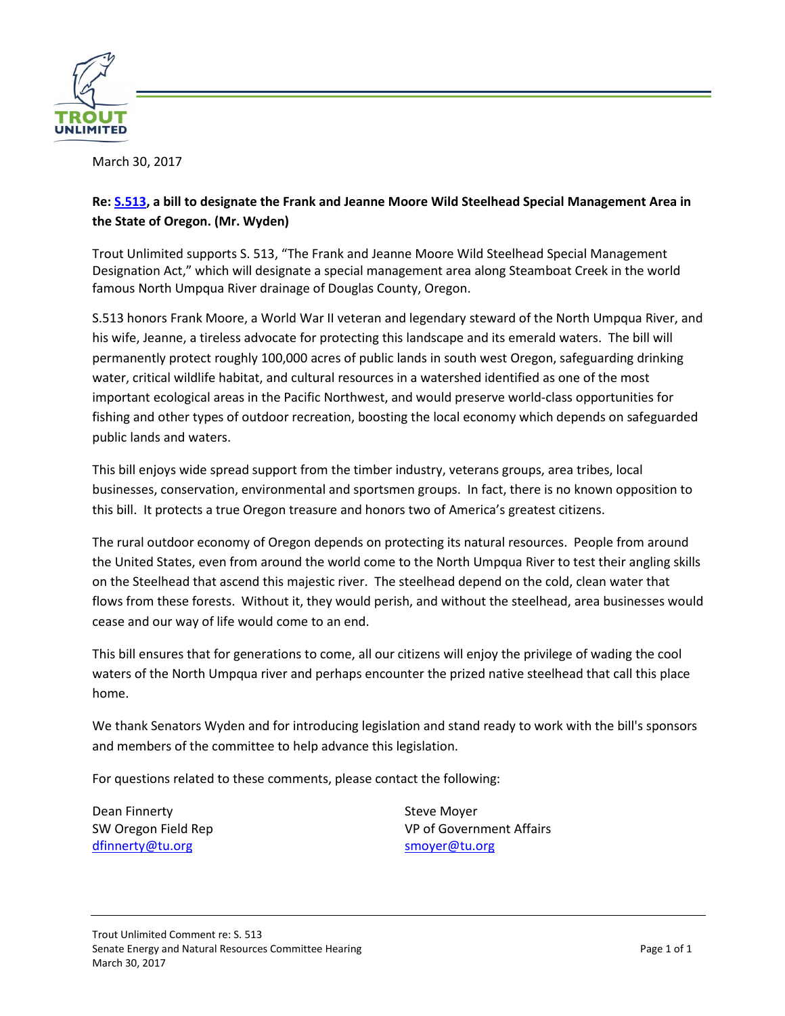

## **Re: [S.513,](https://www.congress.gov/bill/115th-congress/senate-bill/513) a bill to designate the Frank and Jeanne Moore Wild Steelhead Special Management Area in the State of Oregon. (Mr. Wyden)**

Trout Unlimited supports S. 513, "The Frank and Jeanne Moore Wild Steelhead Special Management Designation Act," which will designate a special management area along Steamboat Creek in the world famous North Umpqua River drainage of Douglas County, Oregon.

S.513 honors Frank Moore, a World War II veteran and legendary steward of the North Umpqua River, and his wife, Jeanne, a tireless advocate for protecting this landscape and its emerald waters. The bill will permanently protect roughly 100,000 acres of public lands in south west Oregon, safeguarding drinking water, critical wildlife habitat, and cultural resources in a watershed identified as one of the most important ecological areas in the Pacific Northwest, and would preserve world-class opportunities for fishing and other types of outdoor recreation, boosting the local economy which depends on safeguarded public lands and waters.

This bill enjoys wide spread support from the timber industry, veterans groups, area tribes, local businesses, conservation, environmental and sportsmen groups. In fact, there is no known opposition to this bill. It protects a true Oregon treasure and honors two of America's greatest citizens.

The rural outdoor economy of Oregon depends on protecting its natural resources. People from around the United States, even from around the world come to the North Umpqua River to test their angling skills on the Steelhead that ascend this majestic river. The steelhead depend on the cold, clean water that flows from these forests. Without it, they would perish, and without the steelhead, area businesses would cease and our way of life would come to an end.

This bill ensures that for generations to come, all our citizens will enjoy the privilege of wading the cool waters of the North Umpqua river and perhaps encounter the prized native steelhead that call this place home.

We thank Senators Wyden and for introducing legislation and stand ready to work with the bill's sponsors and members of the committee to help advance this legislation.

For questions related to these comments, please contact the following:

Dean Finnerty SW Oregon Field Rep [dfinnerty@tu.org](mailto:dfinnerty@tu.org)

Steve Moyer VP of Government Affairs [smoyer@tu.org](mailto:smoyer@tu.org)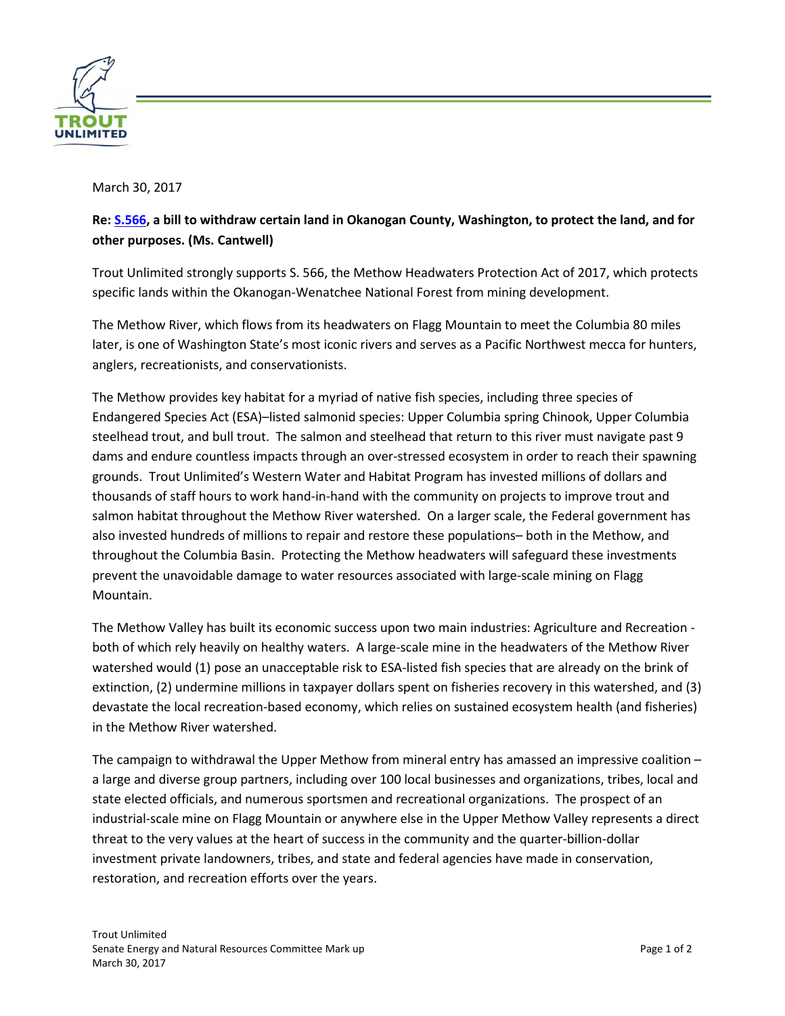

# **Re: [S.566,](https://www.congress.gov/bill/115th-congress/senate-bill/566) a bill to withdraw certain land in Okanogan County, Washington, to protect the land, and for other purposes. (Ms. Cantwell)**

Trout Unlimited strongly supports S. 566, the Methow Headwaters Protection Act of 2017, which protects specific lands within the Okanogan-Wenatchee National Forest from mining development.

The Methow River, which flows from its headwaters on Flagg Mountain to meet the Columbia 80 miles later, is one of Washington State's most iconic rivers and serves as a Pacific Northwest mecca for hunters, anglers, recreationists, and conservationists.

The Methow provides key habitat for a myriad of native fish species, including three species of Endangered Species Act (ESA)–listed salmonid species: Upper Columbia spring Chinook, Upper Columbia steelhead trout, and bull trout. The salmon and steelhead that return to this river must navigate past 9 dams and endure countless impacts through an over-stressed ecosystem in order to reach their spawning grounds. Trout Unlimited's Western Water and Habitat Program has invested millions of dollars and thousands of staff hours to work hand-in-hand with the community on projects to improve trout and salmon habitat throughout the Methow River watershed. On a larger scale, the Federal government has also invested hundreds of millions to repair and restore these populations– both in the Methow, and throughout the Columbia Basin. Protecting the Methow headwaters will safeguard these investments prevent the unavoidable damage to water resources associated with large-scale mining on Flagg Mountain.

The Methow Valley has built its economic success upon two main industries: Agriculture and Recreation both of which rely heavily on healthy waters. A large-scale mine in the headwaters of the Methow River watershed would (1) pose an unacceptable risk to ESA-listed fish species that are already on the brink of extinction, (2) undermine millions in taxpayer dollars spent on fisheries recovery in this watershed, and (3) devastate the local recreation-based economy, which relies on sustained ecosystem health (and fisheries) in the Methow River watershed.

The campaign to withdrawal the Upper Methow from mineral entry has amassed an impressive coalition – a large and diverse group partners, including over 100 local businesses and organizations, tribes, local and state elected officials, and numerous sportsmen and recreational organizations. The prospect of an industrial-scale mine on Flagg Mountain or anywhere else in the Upper Methow Valley represents a direct threat to the very values at the heart of success in the community and the quarter-billion-dollar investment private landowners, tribes, and state and federal agencies have made in conservation, restoration, and recreation efforts over the years.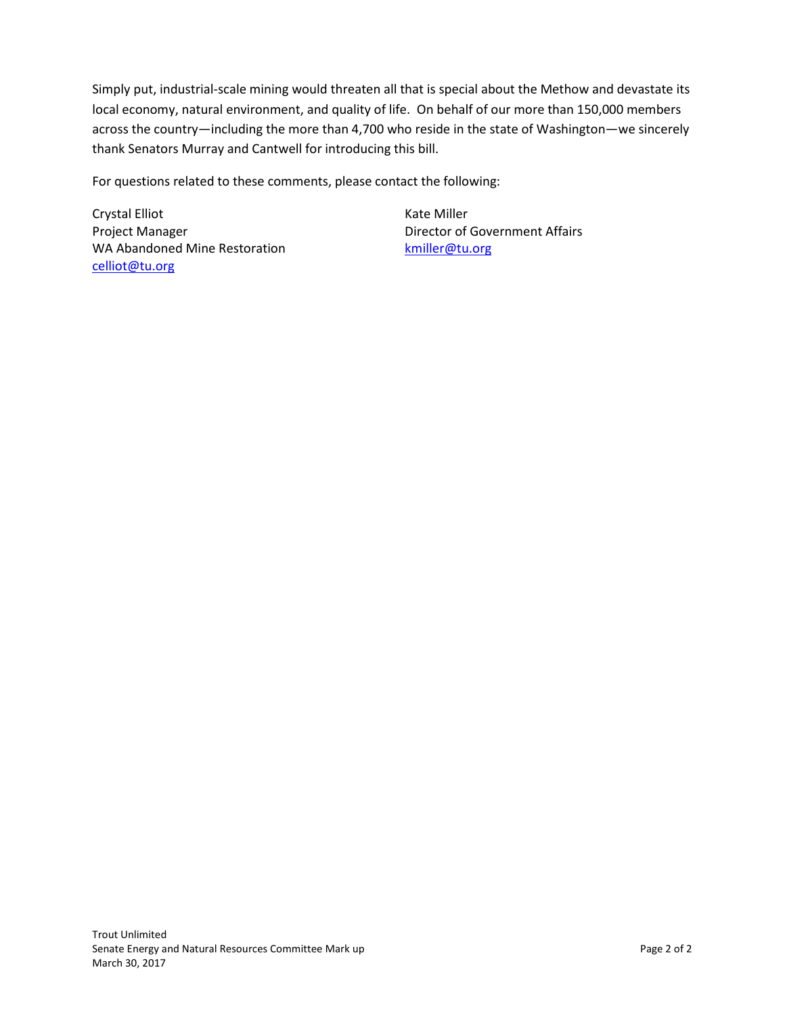Simply put, industrial-scale mining would threaten all that is special about the Methow and devastate its local economy, natural environment, and quality of life. On behalf of our more than 150,000 members across the country—including the more than 4,700 who reside in the state of Washington—we sincerely thank Senators Murray and Cantwell for introducing this bill.

For questions related to these comments, please contact the following:

Crystal Elliot Project Manager WA Abandoned Mine Restoration [celliot@tu.org](mailto:celliot@tu.org)

Kate Miller Director of Government Affairs [kmiller@tu.org](mailto:kmiller@tu.org)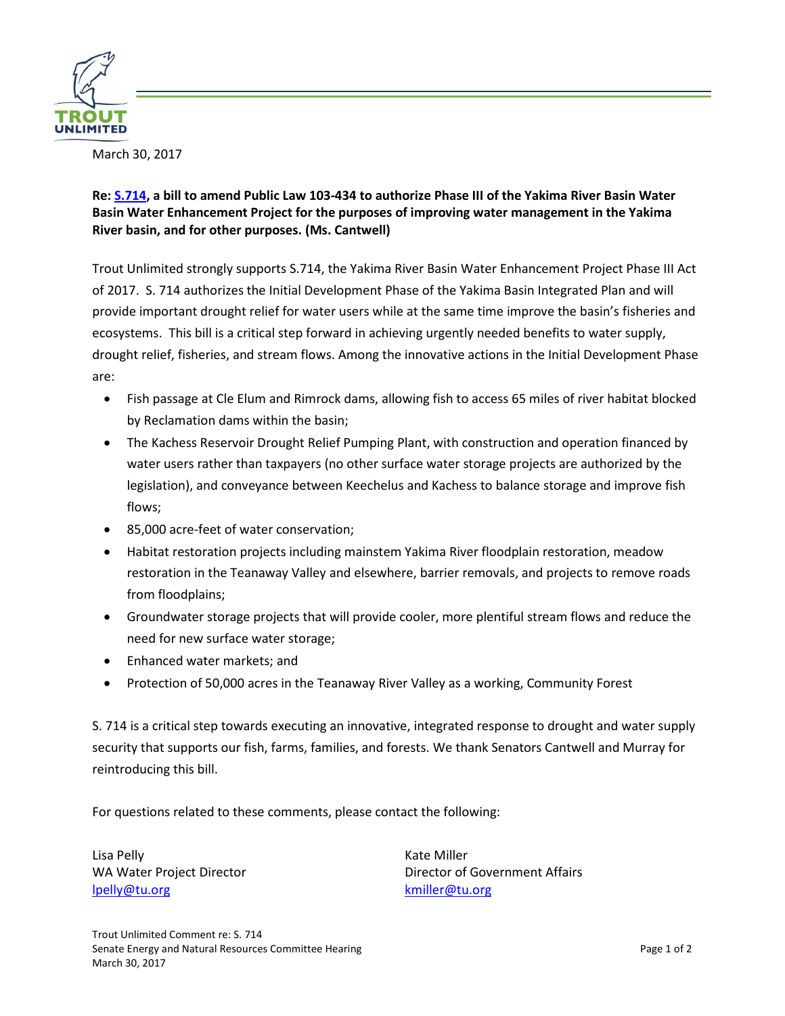

## **Re: [S.714,](https://www.congress.gov/bill/115th-congress/senate-bill/714/text) a bill to amend Public Law 103-434 to authorize Phase III of the Yakima River Basin Water Basin Water Enhancement Project for the purposes of improving water management in the Yakima River basin, and for other purposes. (Ms. Cantwell)**

Trout Unlimited strongly supports S.714, the Yakima River Basin Water Enhancement Project Phase III Act of 2017. S. 714 authorizes the Initial Development Phase of the Yakima Basin Integrated Plan and will provide important drought relief for water users while at the same time improve the basin's fisheries and ecosystems. This bill is a critical step forward in achieving urgently needed benefits to water supply, drought relief, fisheries, and stream flows. Among the innovative actions in the Initial Development Phase are:

- Fish passage at Cle Elum and Rimrock dams, allowing fish to access 65 miles of river habitat blocked by Reclamation dams within the basin;
- The Kachess Reservoir Drought Relief Pumping Plant, with construction and operation financed by water users rather than taxpayers (no other surface water storage projects are authorized by the legislation), and conveyance between Keechelus and Kachess to balance storage and improve fish flows;
- 85,000 acre-feet of water conservation;
- Habitat restoration projects including mainstem Yakima River floodplain restoration, meadow restoration in the Teanaway Valley and elsewhere, barrier removals, and projects to remove roads from floodplains;
- Groundwater storage projects that will provide cooler, more plentiful stream flows and reduce the need for new surface water storage;
- Enhanced water markets; and
- Protection of 50,000 acres in the Teanaway River Valley as a working, Community Forest

S. 714 is a critical step towards executing an innovative, integrated response to drought and water supply security that supports our fish, farms, families, and forests. We thank Senators Cantwell and Murray for reintroducing this bill.

For questions related to these comments, please contact the following:

Lisa Pelly WA Water Project Director [lpelly@tu.org](mailto:lpelly@tu.org)

Kate Miller Director of Government Affairs [kmiller@tu.org](mailto:kmiller@tu.org)